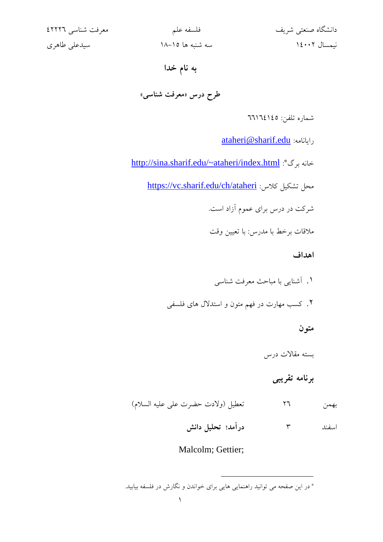| دانشگاه صنعتی شریف |              |
|--------------------|--------------|
|                    | نيمسال ١٤٠٠٢ |

دانشگاه صنعتی شریف فلسفه علم معرفت شناسی 42226 نیمسال 14002 سه شنبه ها 18-15 سیدعلی طاهری

## **به نام خدا**

**طرح درس »معرفت شناسی«**

شماره تلفن: 66164145

[ataheri@sharif.edu](mailto:ataheri@sharif.edu) :رایانامه

خانه برگ\*: <http://sina.sharif.edu/~ataheri/index.html>

<https://vc.sharif.edu/ch/ataheri> : کالس نشکیل کلاس

شرکت در درس برای عموم آزاد است.

مالقات برخط با مدرس: با تعیین وقت

**اهداف** 

- .1 آشنایی با مباحث معرفت شناسی
- .2 کسب مهارت در فهم متون و استدالل های فلسفی

## **متون**

بسته مقاالت درس

## **برنامه تقریبی**

بهمن 26 تعطیل )والدت حضرت علی علیه السالم( اسفند 3 **درآمد؛ تحلیل دانش**

## Malcolm; Gettier;

<sup>\*</sup> در این صفحه می توانید راهنمایی هایی برای خواندن و نگارش در فلسفه بیابید.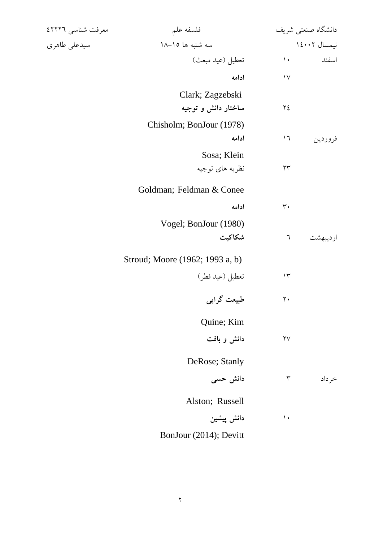| معرفت شناسي ٤٢٢٢٦ | فلسفه علم                       |                          | دانشگاه صنعتی شریف |
|-------------------|---------------------------------|--------------------------|--------------------|
| سيدعلى طاهري      | سه شنبه ها ١٥-١٨                |                          | نيمسال ١٤٠٠٢       |
|                   | تعطيل (عيد مبعث)                | $\mathcal{L}$            | اسفند              |
|                   | ادامه                           | $\gamma$                 |                    |
|                   | Clark; Zagzebski                |                          |                    |
|                   | ساختار دانش و توجیه             | ٢٤                       |                    |
|                   | Chisholm; BonJour (1978)        |                          |                    |
|                   | ادامه                           | $\backslash \mathcal{A}$ | فروردين            |
|                   | Sosa; Klein                     |                          |                    |
|                   | نظریه های توجیه                 | ۲۳                       |                    |
|                   | Goldman; Feldman & Conee        |                          |                    |
|                   | ادامه                           | ٣٠                       |                    |
|                   | Vogel; BonJour (1980)           |                          |                    |
|                   | شكاكيت                          | ٦                        | ارديبهشت           |
|                   | Stroud; Moore (1962; 1993 a, b) |                          |                    |
|                   | تعطيل (عيد فطر)                 | $\Upsilon$               |                    |
|                   | طبیعت گرایی                     | $\mathbf{y}$ .           |                    |
|                   | Quine; Kim                      |                          |                    |
|                   | دانش و بافت                     | $\mathsf{Y}\mathsf{V}$   |                    |
|                   | DeRose; Stanly                  |                          |                    |
|                   | دانش حسی                        | $\mathbf{\breve{r}}$     | خرداد              |
|                   | Alston; Russell                 |                          |                    |
|                   | دانش پیشین                      | $\mathcal{L}$            |                    |
|                   | BonJour (2014); Devitt          |                          |                    |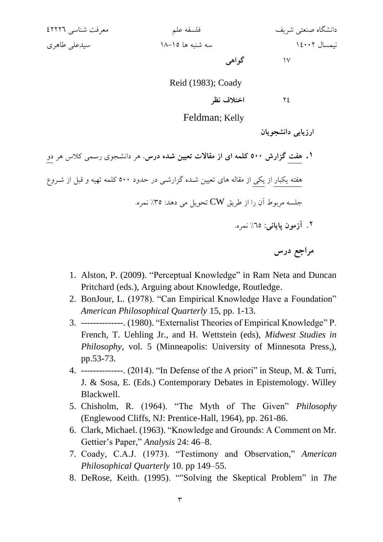دانشگاه صنعتی شریف فلسفه علم معرفت شناسی 42226 نیمسال 14002 سه شنبه ها 18-15 سیدعلی طاهری

17 **گواهی**

Reid (1983); Coady

24 **اختالف نظر**

Feldman; Kelly

**ارزیابی دانشجویان**

**.1 هفت گزارش 500 کلمه ای از مقاالت تعیین شدد درس.** هر دانشجووی رسجمی کالس هر دو هفته یکبار از یکی از مقاله های تعیین شـده گزارشـی در حدود ۵۰۰ کلمه تهیه و قبل از شـروع جلسه مربوط آن را از طریق  ${\rm\bf CW}$  تحویل می دهد: ۳۵٪ نمره.

.2 **آزمون پایانی:** %65 نمره.

**مراجع درس**

- 1. Alston, P. (2009). "Perceptual Knowledge" in Ram Neta and Duncan Pritchard (eds.), Arguing about Knowledge, Routledge.
- 2. BonJour, L. (1978). "Can Empirical Knowledge Have a Foundation" *American Philosophical Quarterly* 15, pp. 1-13.
- 3. --------------. (1980). "Externalist Theories of Empirical Knowledge" P. French, T. Uehling Jr., and H. Wettstein (eds), *Midwest Studies in Philosophy*, vol. 5 (Minneapolis: University of Minnesota Press,), pp.53-73.
- 4. --------------. (2014). "In Defense of the A priori" in Steup, M. & Turri, J. & Sosa, E. (Eds.) Contemporary Debates in Epistemology. Willey Blackwell.
- 5. Chisholm, R. (1964). "The Myth of The Given" *Philosophy*  (Englewood Cliffs, NJ: Prentice-Hall, 1964), pp. 261-86.
- 6. Clark, Michael. (1963). "Knowledge and Grounds: A Comment on Mr. Gettier's Paper," *Analysis* 24: 46–8.
- 7. Coady, C.A.J. (1973). "Testimony and Observation," *American Philosophical Quarterly* 10. pp 149–55.
- 8. DeRose, Keith. (1995). ""Solving the Skeptical Problem" in *The*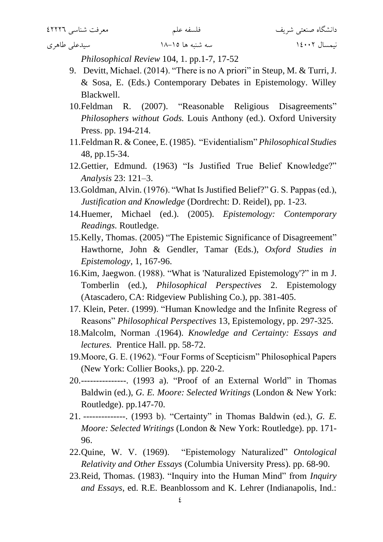*Philosophical Review* 104, 1. pp.1-7, 17-52

- 9. Devitt, Michael. (2014). "There is no A priori" in Steup, M. & Turri, J. & Sosa, E. (Eds.) Contemporary Debates in Epistemology. Willey Blackwell.
- 10.Feldman R. (2007). "Reasonable Religious Disagreements" *Philosophers without Gods.* Louis Anthony (ed.). Oxford University Press. pp. 194-214.
- 11.Feldman R. & Conee, E. (1985). "Evidentialism" *Philosophical Studies* 48, pp.15-34.
- 12.Gettier, Edmund. (1963) "Is Justified True Belief Knowledge?" *Analysis* 23: 121–3.
- 13.Goldman, Alvin. (1976). "What Is Justified Belief?" G. S. Pappas (ed.), *Justification and Knowledge* (Dordrecht: D. Reidel), pp. 1-23.
- 14.Huemer, Michael (ed.). (2005). *Epistemology: Contemporary Readings.* Routledge.
- 15.Kelly, Thomas. (2005) "The Epistemic Significance of Disagreement" Hawthorne, John & Gendler, Tamar (Eds.), *Oxford Studies in Epistemology*, 1, 167-96.
- 16.Kim, Jaegwon. (1988). "What is 'Naturalized Epistemology'?" in m J. Tomberlin (ed.), *Philosophical Perspectives* 2. Epistemology (Atascadero, CA: Ridgeview Publishing Co.), pp. 381-405.
- 17. Klein, Peter. (1999). "Human Knowledge and the Infinite Regress of Reasons" *Philosophical Perspectives* 13, Epistemology, pp. 297-325.
- 18.Malcolm, Norman .(1964). *Knowledge and Certainty: Essays and lectures.* Prentice Hall. pp. 58-72.
- 19.Moore, G. E. (1962). "Four Forms of Scepticism" Philosophical Papers (New York: Collier Books,). pp. 220-2.
- 20.---------------. (1993 a). "Proof of an External World" in Thomas Baldwin (ed.), *G. E. Moore: Selected Writings* (London & New York: Routledge). pp.147-70.
- 21. --------------. (1993 b). "Certainty" in Thomas Baldwin (ed.), *G. E. Moore: Selected Writings* (London & New York: Routledge). pp. 171- 96.
- 22.Quine, W. V. (1969). "Epistemology Naturalized" *Ontological Relativity and Other Essays* (Columbia University Press). pp. 68-90.
- 23.Reid, Thomas. (1983). "Inquiry into the Human Mind" from *Inquiry and Essays*, ed. R.E. Beanblossom and K. Lehrer (Indianapolis, Ind.: